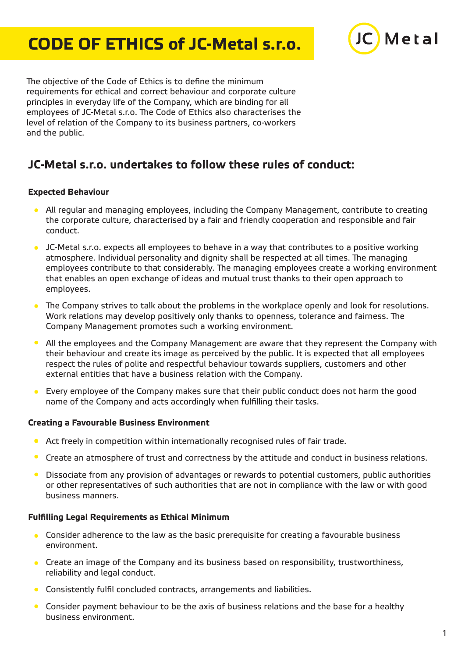# **CODE OF ETHICS of JC-Metal s.r.o.**



The objective of the Code of Ethics is to define the minimum requirements for ethical and correct behaviour and corporate culture principles in everyday life of the Company, which are binding for all employees of JC-Metal s.r.o. The Code of Ethics also characterises the level of relation of the Company to its business partners, co-workers and the public.

## **JC-Metal s.r.o. undertakes to follow these rules of conduct:**

### **Expected Behaviour**

- All regular and managing employees, including the Company Management, contribute to creating the corporate culture, characterised by a fair and friendly cooperation and responsible and fair conduct.
- JC-Metal s.r.o. expects all employees to behave in a way that contributes to a positive working atmosphere. Individual personality and dignity shall be respected at all times. The managing employees contribute to that considerably. The managing employees create a working environment that enables an open exchange of ideas and mutual trust thanks to their open approach to employees.
- The Company strives to talk about the problems in the workplace openly and look for resolutions. Work relations may develop positively only thanks to openness, tolerance and fairness. The Company Management promotes such a working environment.
- $\bullet$ All the employees and the Company Management are aware that they represent the Company with their behaviour and create its image as perceived by the public. It is expected that all employees respect the rules of polite and respectful behaviour towards suppliers, customers and other external entities that have a business relation with the Company.
- Every employee of the Company makes sure that their public conduct does not harm the good  $\bullet$ name of the Company and acts accordingly when fulfilling their tasks.

#### **Creating a Favourable Business Environment**

- **Act freely in competition within internationally recognised rules of fair trade.**
- $\bullet$ Create an atmosphere of trust and correctness by the attitude and conduct in business relations.
- $\bullet$ Dissociate from any provision of advantages or rewards to potential customers, public authorities or other representatives of such authorities that are not in compliance with the law or with good business manners.

#### **Fulfilling Legal Requirements as Ethical Minimum**

- Consider adherence to the law as the basic prerequisite for creating a favourable business environment.
- Create an image of the Company and its business based on responsibility, trustworthiness,  $\bullet$ reliability and legal conduct.
- Consistently fulfil concluded contracts, arrangements and liabilities.  $\bullet$
- $\bullet$ Consider payment behaviour to be the axis of business relations and the base for a healthy business environment.